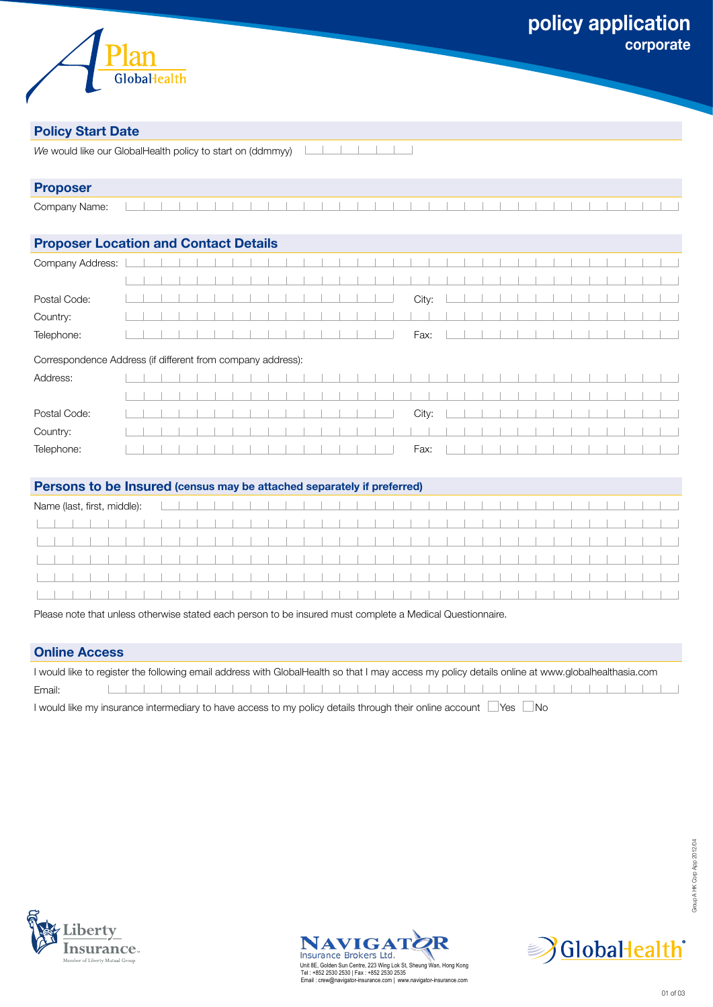

# **Policy Start Date**

| We would like our GlobalHealth policy to start on (ddmmyy) |  |
|------------------------------------------------------------|--|
|                                                            |  |

| <b>Proposer</b> |  |  |  |  |  |  |  |  |  |  |  |  |  |  |  |  |
|-----------------|--|--|--|--|--|--|--|--|--|--|--|--|--|--|--|--|
| Company Name:   |  |  |  |  |  |  |  |  |  |  |  |  |  |  |  |  |

# **Proposer Location and Contact Details**

| Postal Code: |  |  |  |  |  |  |  |   |                                                                                                          |  |  |  |  |  |  |  |
|--------------|--|--|--|--|--|--|--|---|----------------------------------------------------------------------------------------------------------|--|--|--|--|--|--|--|
| Country:     |  |  |  |  |  |  |  |   |                                                                                                          |  |  |  |  |  |  |  |
| Telephone:   |  |  |  |  |  |  |  | . | Fax: $  \cdot   \cdot  $ $  \cdot   \cdot  $ $  \cdot   \cdot  $ $  \cdot   \cdot  $ $  \cdot   \cdot  $ |  |  |  |  |  |  |  |
|              |  |  |  |  |  |  |  |   |                                                                                                          |  |  |  |  |  |  |  |

### Correspondence Address (if different from company address):

| Address:     |  |  |  |  |  |  |  |   | .                  |  |  |        |  | and the control of the con- |  |  |   |  |
|--------------|--|--|--|--|--|--|--|---|--------------------|--|--|--------|--|-----------------------------|--|--|---|--|
|              |  |  |  |  |  |  |  |   |                    |  |  |        |  |                             |  |  |   |  |
| Postal Code: |  |  |  |  |  |  |  |   | $\Box$             |  |  |        |  |                             |  |  |   |  |
| Country:     |  |  |  |  |  |  |  |   |                    |  |  |        |  |                             |  |  | . |  |
| Telephone:   |  |  |  |  |  |  |  | . | Fax: $\Box$ $\Box$ |  |  | $\sim$ |  |                             |  |  | . |  |

### **Persons to be Insured (census may be attached separately if preferred)**

|  |  |  |  |  |  | . |  |  |  |  |  |  | . |  |  |  |  |  |  |
|--|--|--|--|--|--|---|--|--|--|--|--|--|---|--|--|--|--|--|--|

Please note that unless otherwise stated each person to be insured must complete a Medical Questionnaire.

# **Online Access**

| I would like to register the following email address with GlobalHealth so that I may access my policy details online at www.globalhealthasia.com |  |  |  |  |  |  |  |  |  |  |  |  |  |  |  |
|--------------------------------------------------------------------------------------------------------------------------------------------------|--|--|--|--|--|--|--|--|--|--|--|--|--|--|--|
| Email:                                                                                                                                           |  |  |  |  |  |  |  |  |  |  |  |  |  |  |  |
| $\frac{1}{2}$ until the multiple was a intermediate to boundary to multiple details through their enline conquest. Note that                     |  |  |  |  |  |  |  |  |  |  |  |  |  |  |  |

I would like my insurance intermediary to have access to my policy details through their online account  $\Box$  Yes  $\Box$  No





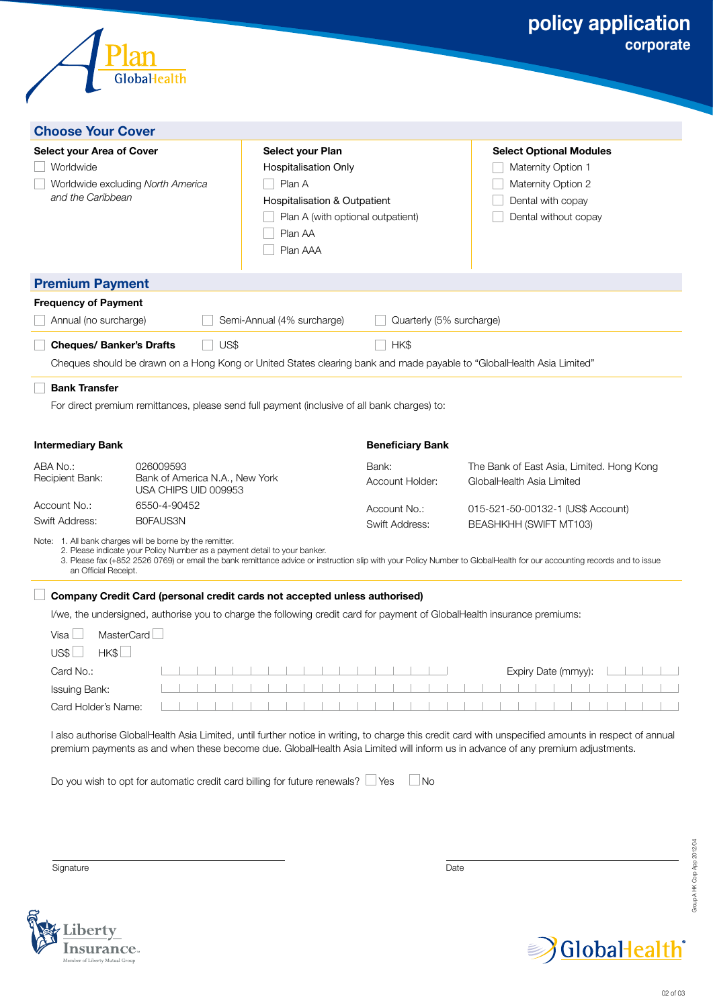| Globallealth                                                                                                                                                                                                     |                                                                                                                                                |                                  | policy application<br>corporate                                                                                                                                                                  |
|------------------------------------------------------------------------------------------------------------------------------------------------------------------------------------------------------------------|------------------------------------------------------------------------------------------------------------------------------------------------|----------------------------------|--------------------------------------------------------------------------------------------------------------------------------------------------------------------------------------------------|
| <b>Choose Your Cover</b>                                                                                                                                                                                         |                                                                                                                                                |                                  |                                                                                                                                                                                                  |
| <b>Select your Area of Cover</b><br>Worldwide<br>Worldwide excluding North America<br>and the Caribbean                                                                                                          | Select your Plan<br>Hospitalisation Only<br>Plan A<br>Hospitalisation & Outpatient<br>Plan A (with optional outpatient)<br>Plan AA<br>Plan AAA |                                  | <b>Select Optional Modules</b><br>Maternity Option 1<br>Maternity Option 2<br>Dental with copay<br>Dental without copay                                                                          |
| <b>Premium Payment</b>                                                                                                                                                                                           |                                                                                                                                                |                                  |                                                                                                                                                                                                  |
| <b>Frequency of Payment</b><br>Annual (no surcharge)<br><b>Cheques/ Banker's Drafts</b><br>Cheques should be drawn on a Hong Kong or United States clearing bank and made payable to "GlobalHealth Asia Limited" | Semi-Annual (4% surcharge)<br>US\$                                                                                                             | Quarterly (5% surcharge)<br>HK\$ |                                                                                                                                                                                                  |
| <b>Bank Transfer</b><br>For direct premium remittances, please send full payment (inclusive of all bank charges) to:                                                                                             |                                                                                                                                                |                                  |                                                                                                                                                                                                  |
| <b>Intermediary Bank</b>                                                                                                                                                                                         |                                                                                                                                                | <b>Beneficiary Bank</b>          |                                                                                                                                                                                                  |
| ABA No.:<br>026009593<br>Bank of America N.A., New York<br>Recipient Bank:<br>USA CHIPS UID 009953                                                                                                               |                                                                                                                                                | Bank:<br>Account Holder:         | The Bank of East Asia, Limited. Hong Kong<br>GlobalHealth Asia Limited                                                                                                                           |
| 6550-4-90452<br>Account No.:<br>B0FAUS3N<br>Swift Address:                                                                                                                                                       |                                                                                                                                                | Account No.:                     | 015-521-50-00132-1 (US\$ Account)                                                                                                                                                                |
| Note: 1. All bank charges will be borne by the remitter.<br>2. Please indicate your Policy Number as a payment detail to your banker.<br>an Official Receipt.                                                    |                                                                                                                                                | Swift Address:                   | BEASHKHH (SWIFT MT103)<br>3. Please fax (+852 2526 0769) or email the bank remittance advice or instruction slip with your Policy Number to GlobalHealth for our accounting records and to issue |
| Company Credit Card (personal credit cards not accepted unless authorised)                                                                                                                                       |                                                                                                                                                |                                  |                                                                                                                                                                                                  |
| I/we, the undersigned, authorise you to charge the following credit card for payment of GlobalHealth insurance premiums:                                                                                         |                                                                                                                                                |                                  |                                                                                                                                                                                                  |
| MasterCard<br>Visa L                                                                                                                                                                                             |                                                                                                                                                |                                  |                                                                                                                                                                                                  |
| HK\$<br>US\$L<br>Card No.:                                                                                                                                                                                       |                                                                                                                                                |                                  | Expiry Date (mmyy):                                                                                                                                                                              |

I also authorise GlobalHealth Asia Limited, until further notice in writing, to charge this credit card with unspecified amounts in respect of annual premium payments as and when these become due. GlobalHealth Asia Limited will inform us in advance of any premium adjustments.

Do you wish to opt for automatic credit card billing for future renewals?  $\Box$  Yes  $\Box$  No

Signature **Date** 

Card Holder's Name:

Group A HK Corp App 2012/04 Group A HK Corp App 2012/04



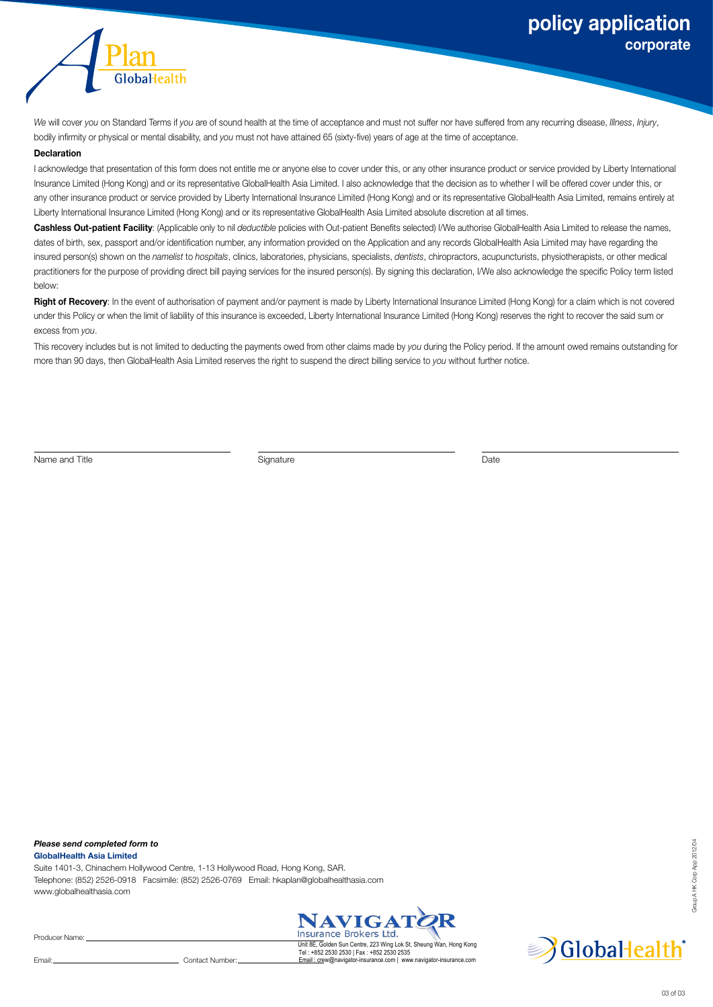

*We* will cover *you* on Standard Terms if *you* are of sound health at the time of acceptance and must not suffer nor have suffered from any recurring disease, *Illness*, *Injury*, bodily infirmity or physical or mental disability, and *you* must not have attained 65 (sixty-five) years of age at the time of acceptance.

#### **Declaration**

I acknowledge that presentation of this form does not entitle me or anyone else to cover under this, or any other insurance product or service provided by Liberty International Insurance Limited (Hong Kong) and or its representative GlobalHealth Asia Limited. I also acknowledge that the decision as to whether I will be offered cover under this, or any other insurance product or service provided by Liberty International Insurance Limited (Hong Kong) and or its representative GlobalHealth Asia Limited, remains entirely at Liberty International Insurance Limited (Hong Kong) and or its representative GlobalHealth Asia Limited absolute discretion at all times.

**Cashless Out-patient Facility**: (Applicable only to nil *deductible* policies with Out-patient Benefits selected) I/We authorise GlobalHealth Asia Limited to release the names, dates of birth, sex, passport and/or identification number, any information provided on the Application and any records GlobalHealth Asia Limited may have regarding the insured person(s) shown on the *namelist* to *hospitals*, clinics, laboratories, physicians, specialists, *dentists*, chiropractors, acupuncturists, physiotherapists, or other medical practitioners for the purpose of providing direct bill paying services for the insured person(s). By signing this declaration, I/We also acknowledge the specific Policy term listed below:

Right of Recovery: In the event of authorisation of payment and/or payment is made by Liberty International Insurance Limited (Hong Kong) for a claim which is not covered under this Policy or when the limit of liability of this insurance is exceeded, Liberty International Insurance Limited (Hong Kong) reserves the right to recover the said sum or excess from *you*.

This recovery includes but is not limited to deducting the payments owed from other claims made by *you* during the Policy period. If the amount owed remains outstanding for more than 90 days, then GlobalHealth Asia Limited reserves the right to suspend the direct billing service to *you* without further notice.

Name and Title **Signature** Signature Signature **Signature** Date

*Please send completed form to* **GlobalHealth Asia Limited**

Suite 1401-3, Chinachem Hollywood Centre, 1-13 Hollywood Road, Hong Kong, SAR. Telephone: (852) 2526-0918 Facsimile: (852) 2526-0769 Email: hkaplan@globalhealthasia.com www.globalhealthasia.com



Tel : +852 2530 2530 | Fax : +852 2530 2535 Email : crew@navigator-insurance.com | www.navigator-insurance.com

Producer Name:

Email: Contact Number:

Group A HK Corp App 2012/04

iroup AHK Corp App 2012/04

03 of 03